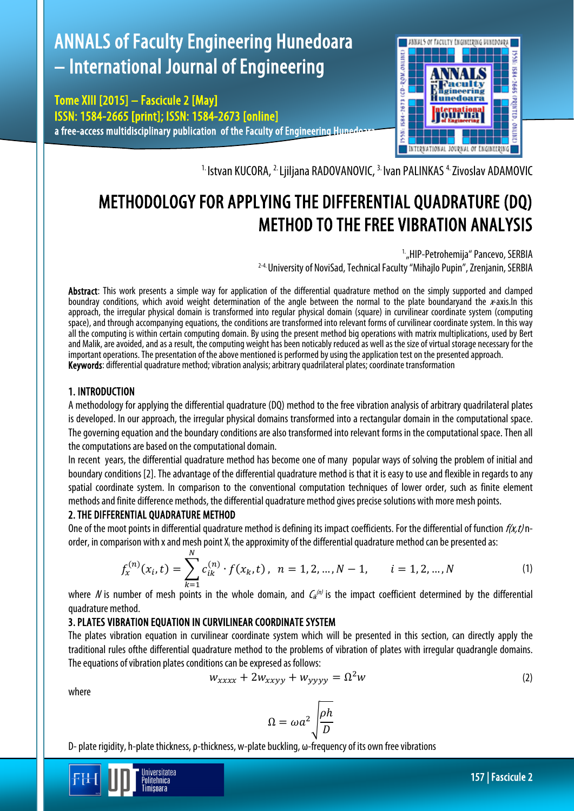# ANNALS of Faculty Engineering Hunedoara – International Journal of Engineering

Tome XIII [2015] – Fascicule 2 [May] ISSN: 1584-2665 [print]; ISSN: 1584-2673 [online] a free-access multidisciplinary publication of the Faculty of Engineering Hunedor



<sup>1.</sup> Istvan KUCORA, <sup>2.</sup> Ljiljana RADOVANOVIC, <sup>3.</sup> Ivan PALINKAS<sup>4.</sup> Zivoslav ADAMOVIC

## METHODOLOGY FOR APPLYING THE DIFFERENTIAL QUADRATURE (DQ) METHOD TO THE FREE VIBRATION ANALYSIS

 1. "HIP-Petrohemija" Pancevo, SERBIA 2-4. University of NoviSad, Technical Faculty "Mihajlo Pupin", Zrenjanin, SERBIA

Abstract: This work presents a simple way for application of the differential quadrature method on the simply supported and clamped boundray conditions, which avoid weight determination of the angle between the normal to the plate boundaryand the  $x$ -axis.In this approach, the irregular physical domain is transformed into regular physical domain (square) in curvilinear coordinate system (computing space), and through accompanying equations, the conditions are transformed into relevant forms of curvilinear coordinate system. In this way all the computing is within certain computing domain. By using the present method big operations with matrix multiplications, used by Bert and Malik, are avoided, and as a result, the computing weight has been noticably reduced as well as the size of virtual storage necessary for the important operations. The presentation of the above mentioned is performed by using the application test on the presented approach. Keywords: differential quadrature method; vibration analysis; arbitrary quadrilateral plates; coordinate transformation

## 1. INTRODUCTION

A methodology for applying the differential quadrature (DQ) method to the free vibration analysis of arbitrary quadrilateral plates is developed. In our approach, the irregular physical domains transformed into a rectangular domain in the computational space. The governing equation and the boundary conditions are also transformed into relevant forms in the computational space. Then all the computations are based on the computational domain.

In recent years, the differential quadrature method has become one of many popular ways of solving the problem of initial and boundary conditions [2]. The advantage of the differential quadrature method is that it is easy to use and flexible in regards to any spatial coordinate system. In comparison to the conventional computation techniques of lower order, such as finite element methods and finite difference methods, the differential quadrature method gives precise solutions with more mesh points.

### 2. THE DIFFERENTIAL QUADRATURE METHOD

One of the moot points in differential quadrature method is defining its impact coefficients. For the differential of function  $f(x,t)$  norder, in comparison with x and mesh point  $X_i$  the approximity of the differential quadrature method can be presented as:

$$
f_x^{(n)}(x_i, t) = \sum_{k=1}^{N} c_{ik}^{(n)} \cdot f(x_k, t), \quad n = 1, 2, ..., N-1, \qquad i = 1, 2, ..., N
$$
 (1)

where N is number of mesh points in the whole domain, and  $C_{ik}^{(m)}$  is the impact coefficient determined by the differential quadrature method.

## 3.PLATES VIBRATION EQUATION IN CURVILINEAR COORDINATE SYSTEM

The plates vibration equation in curvilinear coordinate system which will be presented in this section, can directly apply the traditional rules ofthe differential quadrature method to the problems of vibration of plates with irregular quadrangle domains. The equations of vibration plates conditions can be expresed as follows:

$$
w_{xxxx} + 2w_{xxyy} + w_{yyyy} = \Omega^2 w \tag{2}
$$

where

$$
\Omega = \omega a^2 \sqrt{\frac{\rho h}{D}}
$$

D-plate rigidity, h-plate thickness, ρ-thickness, w-plate buckling, ω-frequency of its own free vibrations

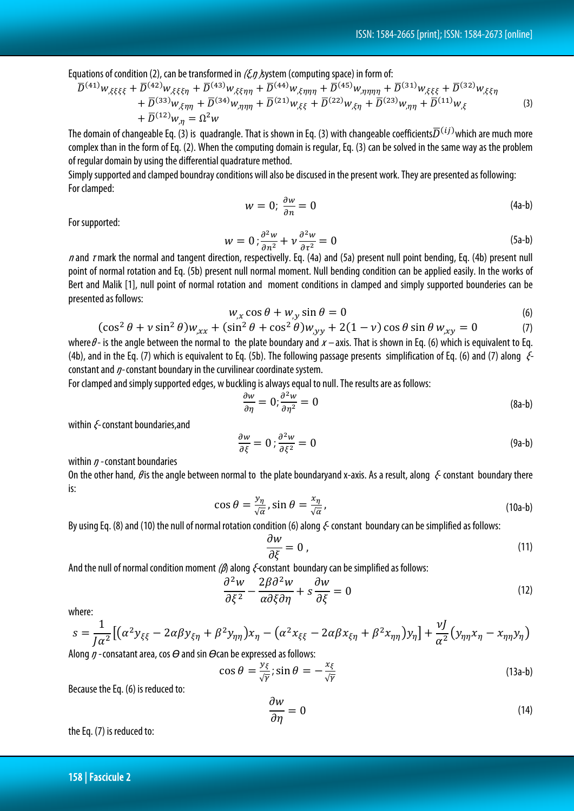Equations of condition (2), can be transformed in  $(\xi, \eta, \xi)$  by stem (computing space) in form of:

$$
\overline{D}^{(41)}w_{,\xi\xi\xi\xi} + \overline{D}^{(42)}w_{,\xi\xi\xi\eta} + \overline{D}^{(43)}w_{,\xi\xi\eta\eta} + \overline{D}^{(44)}w_{,\xi\eta\eta\eta} + \overline{D}^{(45)}w_{,\eta\eta\eta\eta} + \overline{D}^{(31)}w_{,\xi\xi\xi} + \overline{D}^{(32)}w_{,\xi\xi\eta} \n+ \overline{D}^{(33)}w_{,\xi\eta\eta} + \overline{D}^{(34)}w_{,\eta\eta\eta} + \overline{D}^{(21)}w_{,\xi\xi} + \overline{D}^{(22)}w_{,\xi\eta} + \overline{D}^{(23)}w_{,\eta\eta} + \overline{D}^{(11)}w_{,\xi} \tag{3}
$$
\n
$$
+ \overline{D}^{(12)}w_{,\eta} = \Omega^2w
$$

The domain of changeable Eq. (3) is quadrangle. That is shown in Eq. (3) with changeable coefficients $\overline{D}^{(ij)}$ which are much more complex than in the form of Eq. (2). When the computing domain is regular, Eq. (3) can be solved in the same way as the problem of regular domain by using the differential quadrature method.

Simply supported and clamped boundray conditions willalso be discused in the present work. They are presented as following: For clamped:

$$
w = 0; \frac{\partial w}{\partial n} = 0 \tag{4a-b}
$$

For supported:

$$
w = 0; \frac{\partial^2 w}{\partial n^2} + v \frac{\partial^2 w}{\partial \tau^2} = 0
$$
 (5a-b)

n and rmark the normal and tangent direction, respectivelly. Eq. (4a) and (5a) present null point bending, Eq. (4b) present null point of normal rotation and Eq. (5b) present null normal moment. Null bending condition can be applied easily. In the works of Bert and Malik [1], null point of normal rotation and moment conditions in clamped and simply supported bounderies can be presented as follows:

$$
w_{,x}\cos\theta + w_{,y}\sin\theta = 0\tag{6}
$$

$$
(\cos^2 \theta + v \sin^2 \theta) w_{,xx} + (\sin^2 \theta + \cos^2 \theta) w_{,yy} + 2(1 - v) \cos \theta \sin \theta w_{,xy} = 0
$$
 (7)

where  $\theta$ - is the angle between the normal to the plate boundary and  $x$  – axis. That is shown in Eq. (6) which is equivalent to Eq. (4b), and in the Eq. (7) which is equivalent to Eq. (5b). The following passage presents simplification of Eq. (6) and (7) along  $\mathcal{E}$ constant and  $\eta$ -constant boundary in the curvilinear coordinate system.

For clamped and simply supported edges, w buckling is always equal to null. The results are as follows:

$$
\frac{\partial w}{\partial \eta} = 0; \frac{\partial^2 w}{\partial \eta^2} = 0 \tag{8a-b}
$$

within *ξ*-constant boundaries, and

$$
\frac{\partial w}{\partial \xi} = 0; \frac{\partial^2 w}{\partial \xi^2} = 0 \tag{9a-b}
$$

within  $\eta$  - constant boundaries

On the other hand,  $\theta$  is the angle between normal to the plate boundaryand x-axis. As a result, along  $\epsilon$  constant boundary there is:

$$
\cos \theta = \frac{y_{\eta}}{\sqrt{\alpha}}, \sin \theta = \frac{x_{\eta}}{\sqrt{\alpha}}, \tag{10a-b}
$$

By using Eq. (8) and (10) the null of normal rotation condition (6) along  $\xi$ -constant boundary can be simplified as follows:

$$
\frac{\partial w}{\partial \xi} = 0 \tag{11}
$$

And the null of normal condition moment ( $\beta$ ) along  $\xi$ -constant boundary can be simplified as follows:

$$
\frac{\partial^2 w}{\partial \xi^2} - \frac{2\beta \partial^2 w}{\alpha \partial \xi \partial \eta} + s \frac{\partial w}{\partial \xi} = 0
$$
\n(12)

where:

$$
s = \frac{1}{J\alpha^2} \left[ \left( \alpha^2 y_{\xi\xi} - 2\alpha \beta y_{\xi\eta} + \beta^2 y_{\eta\eta} \right) x_{\eta} - \left( \alpha^2 x_{\xi\xi} - 2\alpha \beta x_{\xi\eta} + \beta^2 x_{\eta\eta} \right) y_{\eta} \right] + \frac{\nu J}{\alpha^2} \left( y_{\eta\eta} x_{\eta} - x_{\eta\eta} y_{\eta} \right)
$$

Along ŋ - consatant area, cos *Ѳ*and sin *Ѳ*can be expressed as follows:

$$
\cos \theta = \frac{y_{\xi}}{\sqrt{\gamma}}; \sin \theta = -\frac{x_{\xi}}{\sqrt{\gamma}}
$$
 (13a-b)

Because the Eq. (6) is reduced to:

$$
\frac{\partial w}{\partial \eta} = 0 \tag{14}
$$

the Eq. (7) is reduced to: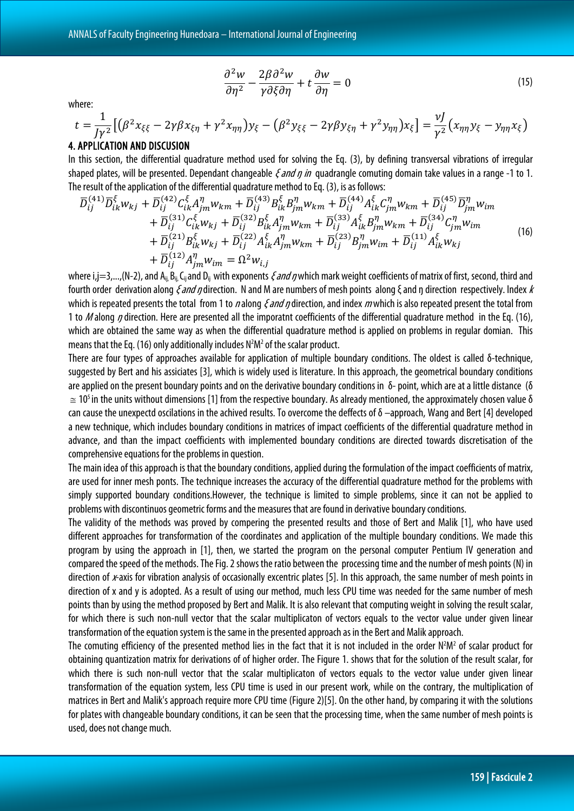$$
\frac{\partial^2 w}{\partial \eta^2} - \frac{2\beta \partial^2 w}{\gamma \partial \xi \partial \eta} + t \frac{\partial w}{\partial \eta} = 0
$$
\n(15)

where:

$$
t = \frac{1}{J\gamma^2} \left[ \left( \beta^2 x_{\xi\xi} - 2\gamma \beta x_{\xi\eta} + \gamma^2 x_{\eta\eta} \right) y_{\xi} - \left( \beta^2 y_{\xi\xi} - 2\gamma \beta y_{\xi\eta} + \gamma^2 y_{\eta\eta} \right) x_{\xi} \right] = \frac{\nu J}{\gamma^2} \left( x_{\eta\eta} y_{\xi} - y_{\eta\eta} x_{\xi} \right)
$$

#### 4. APPLICATION AND DISCUSION

In this section, the differential quadrature method used for solving the Eq. (3), by defining transversal vibrations of irregular shaped plates, will be presented. Dependant changeable  $\zeta$  and  $\eta$  in quadrangle comuting domain take values in a range -1 to 1. The result of the application of the differential quadrature method to Eq. (3), is as follows:

$$
\overline{D}_{ij}^{(41)}\overline{D}_{ik}^{\xi}w_{kj} + \overline{D}_{ij}^{(42)}C_{ik}^{\xi}A_{jm}^{n}w_{km} + \overline{D}_{ij}^{(43)}B_{ik}^{\xi}B_{jm}^{n}w_{km} + \overline{D}_{ij}^{(44)}A_{ik}^{\xi}C_{jm}^{n}w_{km} + \overline{D}_{ij}^{(45)}\overline{D}_{jm}^{n}w_{im} \n+ \overline{D}_{ij}^{(31)}C_{ik}^{\xi}w_{kj} + \overline{D}_{ij}^{(32)}B_{ik}^{\xi}A_{jm}^{n}w_{km} + \overline{D}_{ij}^{(33)}A_{ik}^{\xi}B_{jm}^{n}w_{km} + \overline{D}_{ij}^{(34)}C_{jm}^{n}w_{im} \n+ \overline{D}_{ij}^{(21)}B_{ik}^{\xi}w_{kj} + \overline{D}_{ij}^{(22)}A_{ik}^{\xi}A_{jm}^{n}w_{km} + \overline{D}_{ij}^{(23)}B_{jm}^{n}w_{im} + \overline{D}_{ij}^{(11)}A_{ik}^{\xi}w_{kj} \n+ \overline{D}_{ij}^{(12)}A_{jm}^{n}w_{im} = \Omega^{2}w_{i,j}
$$
\n(16)

where i,j=3,...,(N-2), and A<sub>ii</sub>, B<sub>ii</sub>, C<sub>ij</sub> and D<sub>ij</sub> with exponents *ξ and ŋ* which mark weight coefficients of matrix of first, second, third and fourth order derivation along  $\xi$  and  $\eta$  direction. N and M are numbers of mesh points along  $\xi$  and  $\eta$  direction respectively. Index  $k$ which is repeated presents the total from 1 to n along  $\xi$  and n direction, and index m which is also repeated present the total from 1 to M along  $\eta$  direction. Here are presented all the imporatnt coefficients of the differential quadrature method in the Eq. (16), which are obtained the same way as when the differential quadrature method is applied on problems in regular domian. This means that the Eq. (16) only additionally includes  $N^2M^2$  of the scalar product.

There are four types of approaches available for application of multiple boundary conditions. The oldest is called δ-technique, suggested by Bert and his assiciates [3], which is widely used is literature. In this approach, the geometrical boundary conditions are applied on the present boundary points and on the derivative boundary conditions in δ-point, which are at a little distance (δ  $\approx$  10<sup>5</sup> in the units without dimensions [1] from the respective boundary. As already mentioned, the approximately chosen value  $\delta$ can cause the unexpectd oscilations in the achived results. To overcome the deffects of δ –approach, Wang and Bert [4] developed a new technique, which includes boundary conditions in matrices of impact coefficients of the differential quadrature method in advance, and than the impact coefficients with implemented boundary conditions are directed towards discretisation of the comprehensive equations for the problems in question.

The main idea of this approach is that the boundary conditions, applied during the formulation of the impact coefficients of matrix, are used for inner mesh ponts. The technique increases the accuracy of the differential quadrature method for the problems with simply supported boundary conditions.However, the technique is limited to simple problems, since it can not be applied to problems with discontinuos geometric forms and the measures that are found in derivative boundary conditions.

The validity of the methods was proved by compering the presented results and those of Bert and Malik [1], who have used different approaches for transformation of the coordinates and application of the multiple boundary conditions. We made this program by using the approach in [1], then, we started the program on the personal computer Pentium IV generation and compared the speed of the methods. The Fig. 2 shows the ratio between the processing time and the number of mesh points (N) in direction of *x*-axis for vibration analysis of occasionally excentric plates [5]. In this approach, the same number of mesh points in direction of x and y is adopted. As a result of using our method, much less CPU time was needed for the same number of mesh points than by using the method proposed by Bert and Malik. It is also relevant that computing weight in solving the result scalar, for which there is such non-null vector that the scalar multiplicaton of vectors equals to the vector value under given linear transformation of the equation system is the same in the presented approach as in the Bert and Malik approach.

The comuting efficiency of the presented method lies in the fact that it is not included in the order  $N^2M^2$  of scalar product for obtaining quantization matrix for derivations of of higher order. The Figure 1. shows that for the solution of the result scalar, for which there is such non-null vector that the scalar multiplicaton of vectors equals to the vector value under given linear transformation of the equation system, less CPU time is used in our present work, while on the contrary, the multiplication of matrices in Bert and Malik's approach require more CPU time (Figure 2)[5]. On the other hand, by comparing it with the solutions for plates with changeable boundary conditions, it can be seen that the processing time, when the same number of mesh points is used, does not change much.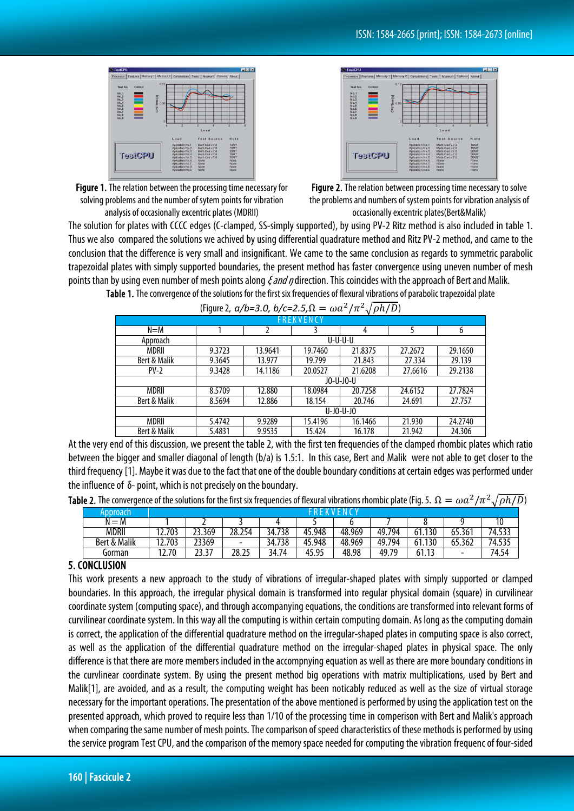





Figure 2. The relation between processing time necessary to solve the problems and numbers of system points for vibration analysis of occasionally excentric plates(Bert&Malik)

The solution for plates with CCCC edges (C-clamped, SS-simply supported), by using PV-2 Ritz method is also included in table 1. Thus we also compared the solutions we achived by using differential quadrature method and Ritz PV-2 method, and came to the conclusion that the difference is very small and insignificant. We came to the same conclusion as regards to symmetric parabolic trapezoidal plates with simply supported boundaries, the present method has faster convergence using uneven number of mesh points than by using even number of mesh points along  $\epsilon$  and *n* direction. This coincides with the approach of Bert and Malik. Table 1. The convergence of the solutions for the first six frequencies of flexural vibrations of parabolic trapezoidal plate

| $1 - 3 - 1 - 1$<br>$-7$<br>$V F \cdot V = V$ |              |         |         |         |         |         |  |  |  |  |  |  |
|----------------------------------------------|--------------|---------|---------|---------|---------|---------|--|--|--|--|--|--|
| <b>FREKVENCY</b>                             |              |         |         |         |         |         |  |  |  |  |  |  |
| $N = M$                                      |              |         |         | 4       |         | 6       |  |  |  |  |  |  |
| Approach                                     | U-U-U-U      |         |         |         |         |         |  |  |  |  |  |  |
| MDRII                                        | 9.3723       | 13.9641 | 19.7460 | 21.8375 | 27.2672 | 29.1650 |  |  |  |  |  |  |
| Bert & Malik                                 | 9.3645       | 13.977  | 19.799  | 21.843  | 27.334  | 29.139  |  |  |  |  |  |  |
| $PV-2$                                       | 9.3428       | 14.1186 | 20.0527 | 21.6208 | 27.6616 | 29.2138 |  |  |  |  |  |  |
|                                              | JO-U-JO-U    |         |         |         |         |         |  |  |  |  |  |  |
| MDRII                                        | 8.5709       | 12.880  | 18.0984 | 20.7258 | 24.6152 | 27.7824 |  |  |  |  |  |  |
| Bert & Malik                                 | 8.5694       | 12.886  | 18.154  | 20.746  | 24.691  | 27.757  |  |  |  |  |  |  |
|                                              | $U$ -JO-U-JO |         |         |         |         |         |  |  |  |  |  |  |
| <b>MDRII</b>                                 | 5.4742       | 9.9289  | 15.4196 | 16.1466 | 21.930  | 24.2740 |  |  |  |  |  |  |
| Bert & Malik                                 | 5.4831       | 9.9535  | 15.424  | 16.178  | 21.942  | 24.306  |  |  |  |  |  |  |

(Figure 2,  $a/b=3.0$ ,  $b/c=2.5$ ,  $\Omega = \omega a^2/\pi^2 \sqrt{ah/D}$ )

At the very end of this discussion, we present the table 2, with the first ten frequencies of the clamped rhombic plates which ratio between the bigger and smaller diagonal of length (b/a) is 1.5:1. In this case, Bert and Malik were not able to get closer to the third frequency [1]. Maybe it was due to the fact that one of the double boundary conditions at certain edges was performed under the influence of δ-point, which is not precisely on the boundary.

**Table 2.** The convergence of the solutions for the first six frequencies of flexural vibrations rhombic plate (Fig. 5.  $\Omega = \omega a^2/\pi^2 \sqrt{\rho h/D}$ )

| Approach                   | N (                             |                |        |             |            |        |            |                    |            |          |  |
|----------------------------|---------------------------------|----------------|--------|-------------|------------|--------|------------|--------------------|------------|----------|--|
| M<br>$=$<br>N              |                                 |                |        |             |            | ີ      |            |                    |            | 10<br>ιv |  |
| <b>MDRII</b>               | 703<br>د،                       | 23.369         | 28.254 | 738<br>34.7 | 45.948     | 48.969 | 49.<br>794 | 130<br>61          | 65.361     | 74.533   |  |
| <b>Malik</b><br>։&<br>Bert | 703<br>$\overline{\phantom{a}}$ | 23369          | -      | 738<br>34.7 | .948<br>45 | 48.969 | 49.<br>794 | 130<br>61          | .362<br>65 | 74.535   |  |
| Gorman                     | 17<br>12.70                     | רר<br>، د. د ۲ | 28.25  | 34.74       | 45.95      | 48.98  | 70<br>49   | 13<br>- 1<br>61.13 | -          | 74.54    |  |

### 5. CONCLUSION

This work presents a new approach to the study of vibrations of irregular-shaped plates with simply supported or clamped boundaries. In this approach, the irregular physical domain is transformed into regular physical domain (square) in curvilinear coordinate system (computing space), and through accompanying equations, the conditions are transformed into relevant forms of curvilinear coordinate system. In this way all the computing is within certain computing domain. As long as the computing domain is correct, the application of the differential quadrature method on the irregular-shaped plates in computing space is also correct, as well as the application of the differential quadrature method on the irregular-shaped plates in physical space. The only difference is that there are more members included in the accompnying equation as well as there are more boundary conditions in the curvlinear coordinate system. By using the present method big operations with matrix multiplications, used by Bert and Malik[1], are avoided, and as a result, the computing weight has been noticably reduced as well as the size of virtual storage necessary for the important operations. The presentation of the above mentioned is performed by using the application test on the presented approach, which proved to require less than 1/10 of the processing time in comperison with Bert and Malik's approach when comparing the same number of mesh points. The comparison of speed characteristics of these methods is performed by using the service program Test CPU, and the comparison of the memory space needed for computing the vibration frequenc of four-sided